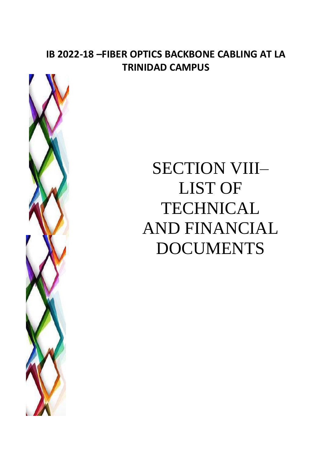## **IB 2022-18 –FIBER OPTICS BACKBONE CABLING AT LA TRINIDAD CAMPUS**



# SECTION VIII– LIST OF TECHNICAL AND FINANCIAL DOCUMENTS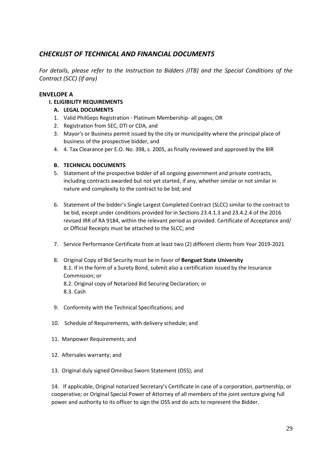### *CHECKLIST OF TECHNICAL AND FINANCIAL DOCUMENTS*

*For details, please refer to the Instruction to Bidders (ITB) and the Special Conditions of the Contract (SCC) (if any)*

#### **ENVELOPE A**

**I. ELIGIBILITY REQUIREMENTS**

#### **A. LEGAL DOCUMENTS**

- 1. Valid PhilGeps Registration Platinum Membership- all pages; OR
- 2. Registration from SEC, DTI or CDA, and
- 3. Mayor's or Business permit issued by the city or municipality where the principal place of business of the prospective bidder, and
- 4. 4. Tax Clearance per E.O. No. 398, s. 2005, as finally reviewed and approved by the BIR

#### **B. TECHNICAL DOCUMENTS**

- 5. Statement of the prospective bidder of all ongoing government and private contracts, including contracts awarded but not yet started, if any, whether similar or not similar in nature and complexity to the contract to be bid; and
- 6. Statement of the bidder's Single Largest Completed Contract (SLCC) similar to the contract to be bid, except under conditions provided for in Sections 23.4.1.3 and 23.4.2.4 of the 2016 revised IRR of RA 9184, within the relevant period as provided. Certificate of Acceptance and/ or Official Receipts must be attached to the SLCC; and
- 7. Service Performance Certificate from at least two (2) different clients from Year 2019-2021
- 8. Original Copy of Bid Security must be in favor of **Benguet State University** 8.1. If in the form of a Surety Bond, submit also a certification issued by the Insurance Commission; or 8.2. Original copy of Notarized Bid Securing Declaration; or 8.3. Cash
- 9. Conformity with the Technical Specifications; and
- 10. Schedule of Requirements, with delivery schedule; and
- 11. Manpower Requirements; and
- 12. Aftersales warranty; and
- 13. Original duly signed Omnibus Sworn Statement (OSS); and

14. If applicable, Original notarized Secretary's Certificate in case of a corporation, partnership, or cooperative; or Original Special Power of Attorney of all members of the joint venture giving full power and authority to its officer to sign the OSS and do acts to represent the Bidder.